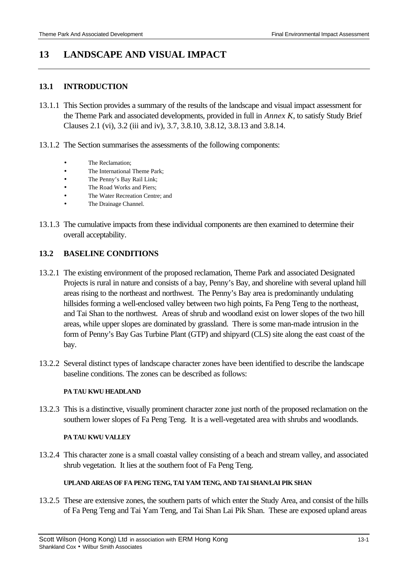# **13 LANDSCAPE AND VISUAL IMPACT**

### **13.1 INTRODUCTION**

- 13.1.1 This Section provides a summary of the results of the landscape and visual impact assessment for the Theme Park and associated developments, provided in full in *Annex K*, to satisfy Study Brief Clauses 2.1 (vi), 3.2 (iii and iv), 3.7, 3.8.10, 3.8.12, 3.8.13 and 3.8.14.
- 13.1.2 The Section summarises the assessments of the following components:
	- The Reclamation:
	- The International Theme Park:
	- The Penny's Bay Rail Link;
	- The Road Works and Piers;
	- The Water Recreation Centre; and
	- The Drainage Channel.
- 13.1.3 The cumulative impacts from these individual components are then examined to determine their overall acceptability.

## **13.2 BASELINE CONDITIONS**

- 13.2.1 The existing environment of the proposed reclamation, Theme Park and associated Designated Projects is rural in nature and consists of a bay, Penny's Bay, and shoreline with several upland hill areas rising to the northeast and northwest. The Penny's Bay area is predominantly undulating hillsides forming a well-enclosed valley between two high points, Fa Peng Teng to the northeast, and Tai Shan to the northwest. Areas of shrub and woodland exist on lower slopes of the two hill areas, while upper slopes are dominated by grassland. There is some man-made intrusion in the form of Penny's Bay Gas Turbine Plant (GTP) and shipyard (CLS) site along the east coast of the bay.
- 13.2.2 Several distinct types of landscape character zones have been identified to describe the landscape baseline conditions. The zones can be described as follows:

#### **PA TAU KWU HEADLAND**

13.2.3 This is a distinctive, visually prominent character zone just north of the proposed reclamation on the southern lower slopes of Fa Peng Teng. It is a well-vegetated area with shrubs and woodlands.

#### **PA TAU KWU VALLEY**

13.2.4 This character zone is a small coastal valley consisting of a beach and stream valley, and associated shrub vegetation. It lies at the southern foot of Fa Peng Teng.

#### **UPLAND AREAS OF FA PENG TENG, TAI YAM TENG, AND TAI SHAN/LAI PIK SHAN**

13.2.5 These are extensive zones, the southern parts of which enter the Study Area, and consist of the hills of Fa Peng Teng and Tai Yam Teng, and Tai Shan Lai Pik Shan. These are exposed upland areas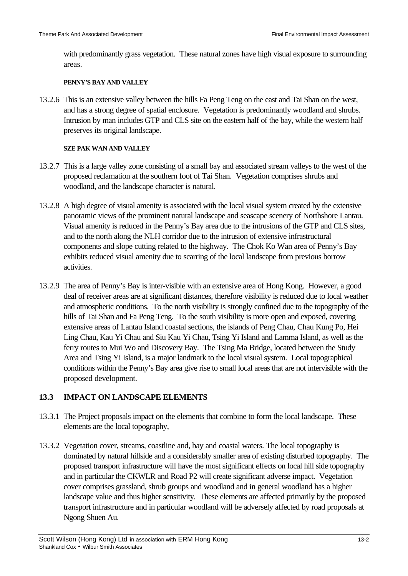with predominantly grass vegetation. These natural zones have high visual exposure to surrounding areas.

#### **PENNY'S BAY AND VALLEY**

13.2.6 This is an extensive valley between the hills Fa Peng Teng on the east and Tai Shan on the west, and has a strong degree of spatial enclosure. Vegetation is predominantly woodland and shrubs. Intrusion by man includes GTP and CLS site on the eastern half of the bay, while the western half preserves its original landscape.

#### **SZE PAK WAN AND VALLEY**

- 13.2.7 This is a large valley zone consisting of a small bay and associated stream valleys to the west of the proposed reclamation at the southern foot of Tai Shan. Vegetation comprises shrubs and woodland, and the landscape character is natural.
- 13.2.8 A high degree of visual amenity is associated with the local visual system created by the extensive panoramic views of the prominent natural landscape and seascape scenery of Northshore Lantau. Visual amenity is reduced in the Penny's Bay area due to the intrusions of the GTP and CLS sites, and to the north along the NLH corridor due to the intrusion of extensive infrastructural components and slope cutting related to the highway. The Chok Ko Wan area of Penny's Bay exhibits reduced visual amenity due to scarring of the local landscape from previous borrow activities.
- 13.2.9 The area of Penny's Bay is inter-visible with an extensive area of Hong Kong. However, a good deal of receiver areas are at significant distances, therefore visibility is reduced due to local weather and atmospheric conditions. To the north visibility is strongly confined due to the topography of the hills of Tai Shan and Fa Peng Teng. To the south visibility is more open and exposed, covering extensive areas of Lantau Island coastal sections, the islands of Peng Chau, Chau Kung Po, Hei Ling Chau, Kau Yi Chau and Siu Kau Yi Chau, Tsing Yi Island and Lamma Island, as well as the ferry routes to Mui Wo and Discovery Bay. The Tsing Ma Bridge, located between the Study Area and Tsing Yi Island, is a major landmark to the local visual system. Local topographical conditions within the Penny's Bay area give rise to small local areas that are not intervisible with the proposed development.

# **13.3 IMPACT ON LANDSCAPE ELEMENTS**

- 13.3.1 The Project proposals impact on the elements that combine to form the local landscape. These elements are the local topography,
- 13.3.2 Vegetation cover, streams, coastline and, bay and coastal waters. The local topography is dominated by natural hillside and a considerably smaller area of existing disturbed topography. The proposed transport infrastructure will have the most significant effects on local hill side topography and in particular the CKWLR and Road P2 will create significant adverse impact. Vegetation cover comprises grassland, shrub groups and woodland and in general woodland has a higher landscape value and thus higher sensitivity. These elements are affected primarily by the proposed transport infrastructure and in particular woodland will be adversely affected by road proposals at Ngong Shuen Au.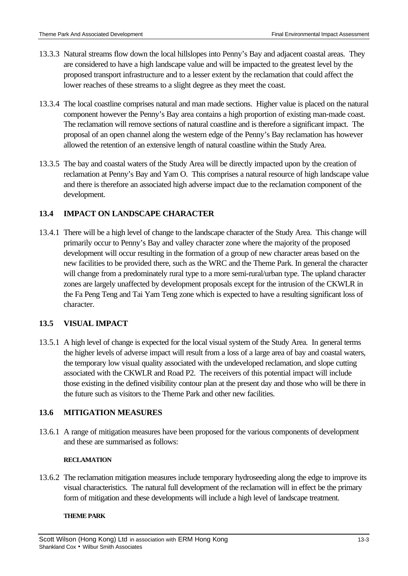- 13.3.3 Natural streams flow down the local hillslopes into Penny's Bay and adjacent coastal areas. They are considered to have a high landscape value and will be impacted to the greatest level by the proposed transport infrastructure and to a lesser extent by the reclamation that could affect the lower reaches of these streams to a slight degree as they meet the coast.
- 13.3.4 The local coastline comprises natural and man made sections. Higher value is placed on the natural component however the Penny's Bay area contains a high proportion of existing man-made coast. The reclamation will remove sections of natural coastline and is therefore a significant impact. The proposal of an open channel along the western edge of the Penny's Bay reclamation has however allowed the retention of an extensive length of natural coastline within the Study Area.
- 13.3.5 The bay and coastal waters of the Study Area will be directly impacted upon by the creation of reclamation at Penny's Bay and Yam O. This comprises a natural resource of high landscape value and there is therefore an associated high adverse impact due to the reclamation component of the development.

# **13.4 IMPACT ON LANDSCAPE CHARACTER**

13.4.1 There will be a high level of change to the landscape character of the Study Area. This change will primarily occur to Penny's Bay and valley character zone where the majority of the proposed development will occur resulting in the formation of a group of new character areas based on the new facilities to be provided there, such as the WRC and the Theme Park. In general the character will change from a predominately rural type to a more semi-rural/urban type. The upland character zones are largely unaffected by development proposals except for the intrusion of the CKWLR in the Fa Peng Teng and Tai Yam Teng zone which is expected to have a resulting significant loss of character.

# **13.5 VISUAL IMPACT**

13.5.1 A high level of change is expected for the local visual system of the Study Area. In general terms the higher levels of adverse impact will result from a loss of a large area of bay and coastal waters, the temporary low visual quality associated with the undeveloped reclamation, and slope cutting associated with the CKWLR and Road P2. The receivers of this potential impact will include those existing in the defined visibility contour plan at the present day and those who will be there in the future such as visitors to the Theme Park and other new facilities.

# **13.6 MITIGATION MEASURES**

13.6.1 A range of mitigation measures have been proposed for the various components of development and these are summarised as follows:

### **RECLAMATION**

13.6.2 The reclamation mitigation measures include temporary hydroseeding along the edge to improve its visual characteristics. The natural full development of the reclamation will in effect be the primary form of mitigation and these developments will include a high level of landscape treatment.

#### **THEME PARK**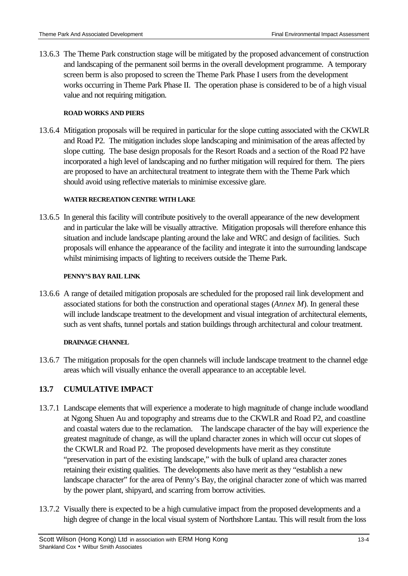13.6.3 The Theme Park construction stage will be mitigated by the proposed advancement of construction and landscaping of the permanent soil berms in the overall development programme. A temporary screen berm is also proposed to screen the Theme Park Phase I users from the development works occurring in Theme Park Phase II. The operation phase is considered to be of a high visual value and not requiring mitigation.

### **ROAD WORKS AND PIERS**

13.6.4 Mitigation proposals will be required in particular for the slope cutting associated with the CKWLR and Road P2. The mitigation includes slope landscaping and minimisation of the areas affected by slope cutting. The base design proposals for the Resort Roads and a section of the Road P2 have incorporated a high level of landscaping and no further mitigation will required for them. The piers are proposed to have an architectural treatment to integrate them with the Theme Park which should avoid using reflective materials to minimise excessive glare.

## **WATER RECREATION CENTRE WITH LAKE**

13.6.5 In general this facility will contribute positively to the overall appearance of the new development and in particular the lake will be visually attractive. Mitigation proposals will therefore enhance this situation and include landscape planting around the lake and WRC and design of facilities. Such proposals will enhance the appearance of the facility and integrate it into the surrounding landscape whilst minimising impacts of lighting to receivers outside the Theme Park.

## **PENNY'S BAY RAIL LINK**

13.6.6 A range of detailed mitigation proposals are scheduled for the proposed rail link development and associated stations for both the construction and operational stages (*Annex M*). In general these will include landscape treatment to the development and visual integration of architectural elements, such as vent shafts, tunnel portals and station buildings through architectural and colour treatment.

# **DRAINAGE CHANNEL**

13.6.7 The mitigation proposals for the open channels will include landscape treatment to the channel edge areas which will visually enhance the overall appearance to an acceptable level.

# **13.7 CUMULATIVE IMPACT**

- 13.7.1 Landscape elements that will experience a moderate to high magnitude of change include woodland at Ngong Shuen Au and topography and streams due to the CKWLR and Road P2, and coastline and coastal waters due to the reclamation. The landscape character of the bay will experience the greatest magnitude of change, as will the upland character zones in which will occur cut slopes of the CKWLR and Road P2. The proposed developments have merit as they constitute "preservation in part of the existing landscape," with the bulk of upland area character zones retaining their existing qualities. The developments also have merit as they "establish a new landscape character" for the area of Penny's Bay, the original character zone of which was marred by the power plant, shipyard, and scarring from borrow activities.
- 13.7.2 Visually there is expected to be a high cumulative impact from the proposed developments and a high degree of change in the local visual system of Northshore Lantau. This will result from the loss